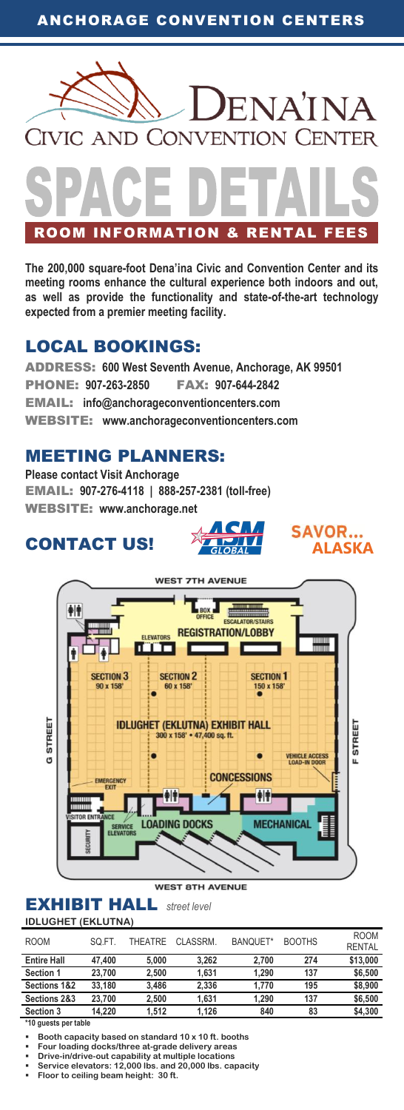

ROOM INFORMATION & RENTAL FEES

**The 200,000 square-foot Dena'ina Civic and Convention Center and its meeting rooms enhance the cultural experience both indoors and out, as well as provide the functionality and state-of-the-art technology expected from a premier meeting facility.**

# LOCAL BOOKINGS:

ADDRESS: **600 West Seventh Avenue, Anchorage, AK 99501** PHONE: **907-263-2850** FAX: **907-644-2842** EMAIL: **info@anchorageconventioncenters.com** WEBSITE: **www.anchorageconventioncenters.com**

# MEETING PLANNERS:

**Please contact Visit Anchorage** EMAIL: **907-276-4118 | 888-257-2381 (toll-free)** WEBSITE: **www.anchorage.net**

# CONTACT US!



AC.

 $GIOBA$ 

**ALASKA**

**SAVOR...** 

#### WEST RTH AVENUE

### EXHIBIT HALL*street level* **IDLUGHET (EKLUTNA)**

| <b>ROOM</b>             | SO.FT. | THFATRF | CLASSRM. | BANOUET* | <b>BOOTHS</b> | <b>ROOM</b><br><b>RENTAL</b> |
|-------------------------|--------|---------|----------|----------|---------------|------------------------------|
| <b>Entire Hall</b>      | 47.400 | 5.000   | 3.262    | 2.700    | 274           | \$13,000                     |
| Section 1               | 23.700 | 2.500   | 1.631    | 1.290    | 137           | \$6,500                      |
| <b>Sections 1&amp;2</b> | 33.180 | 3.486   | 2.336    | 1.770    | 195           | \$8,900                      |
| Sections 2&3            | 23.700 | 2.500   | 1.631    | 1.290    | 137           | \$6,500                      |
| Section 3               | 14.220 | 1.512   | 1.126    | 840      | 83            | \$4,300                      |

**\*10 guests per table**

- **Drive-in/drive-out capability at multiple locations Service elevators: 12,000 lbs. and 20,000 lbs. capacity**
- **Floor to ceiling beam height: 30 ft.**

**Booth capacity based on standard 10 x 10 ft. booths**

**Four loading docks/three at-grade delivery areas**